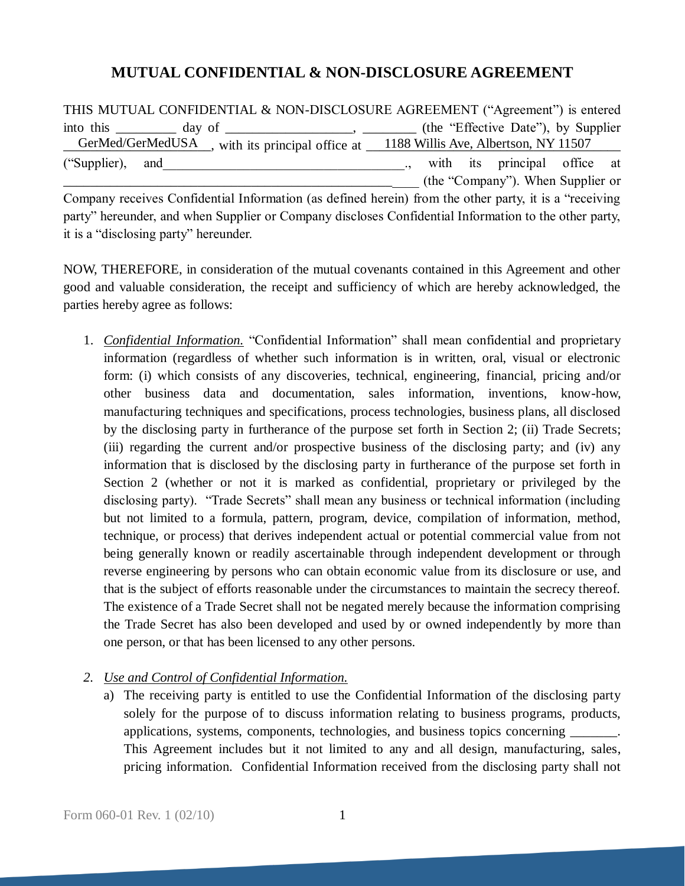## **MUTUAL CONFIDENTIAL & NON-DISCLOSURE AGREEMENT**

THIS MUTUAL CONFIDENTIAL & NON-DISCLOSURE AGREEMENT ("Agreement") is entered into this \_\_\_\_\_\_\_\_ day of \_\_\_\_\_\_\_\_\_\_\_\_\_\_\_, \_\_\_\_\_\_\_ (the "Effective Date"), by Supplier GerMed/GerMedUSA sum its principal office at 1188 Willis Ave, Albertson, NY 11507 ("Supplier), and  $\blacksquare$ , with its principal office at \_\_\_\_\_\_\_\_\_\_\_\_\_\_\_\_\_\_\_\_\_\_\_\_\_\_\_\_\_\_\_\_\_\_\_\_\_\_\_\_\_\_\_\_\_\_\_\_\_\_\_\_\_ (the "Company"). When Supplier or

Company receives Confidential Information (as defined herein) from the other party, it is a "receiving party" hereunder, and when Supplier or Company discloses Confidential Information to the other party, it is a "disclosing party" hereunder.

NOW, THEREFORE, in consideration of the mutual covenants contained in this Agreement and other good and valuable consideration, the receipt and sufficiency of which are hereby acknowledged, the parties hereby agree as follows:

- 1. *Confidential Information.* "Confidential Information" shall mean confidential and proprietary information (regardless of whether such information is in written, oral, visual or electronic form: (i) which consists of any discoveries, technical, engineering, financial, pricing and/or other business data and documentation, sales information, inventions, know-how, manufacturing techniques and specifications, process technologies, business plans, all disclosed by the disclosing party in furtherance of the purpose set forth in Section 2; (ii) Trade Secrets; (iii) regarding the current and/or prospective business of the disclosing party; and (iv) any information that is disclosed by the disclosing party in furtherance of the purpose set forth in Section 2 (whether or not it is marked as confidential, proprietary or privileged by the disclosing party). "Trade Secrets" shall mean any business or technical information (including but not limited to a formula, pattern, program, device, compilation of information, method, technique, or process) that derives independent actual or potential commercial value from not being generally known or readily ascertainable through independent development or through reverse engineering by persons who can obtain economic value from its disclosure or use, and that is the subject of efforts reasonable under the circumstances to maintain the secrecy thereof. The existence of a Trade Secret shall not be negated merely because the information comprising the Trade Secret has also been developed and used by or owned independently by more than one person, or that has been licensed to any other persons.
- *2. Use and Control of Confidential Information.* 
	- a) The receiving party is entitled to use the Confidential Information of the disclosing party solely for the purpose of to discuss information relating to business programs, products, applications, systems, components, technologies, and business topics concerning \_\_\_\_\_\_\_. This Agreement includes but it not limited to any and all design, manufacturing, sales, pricing information. Confidential Information received from the disclosing party shall not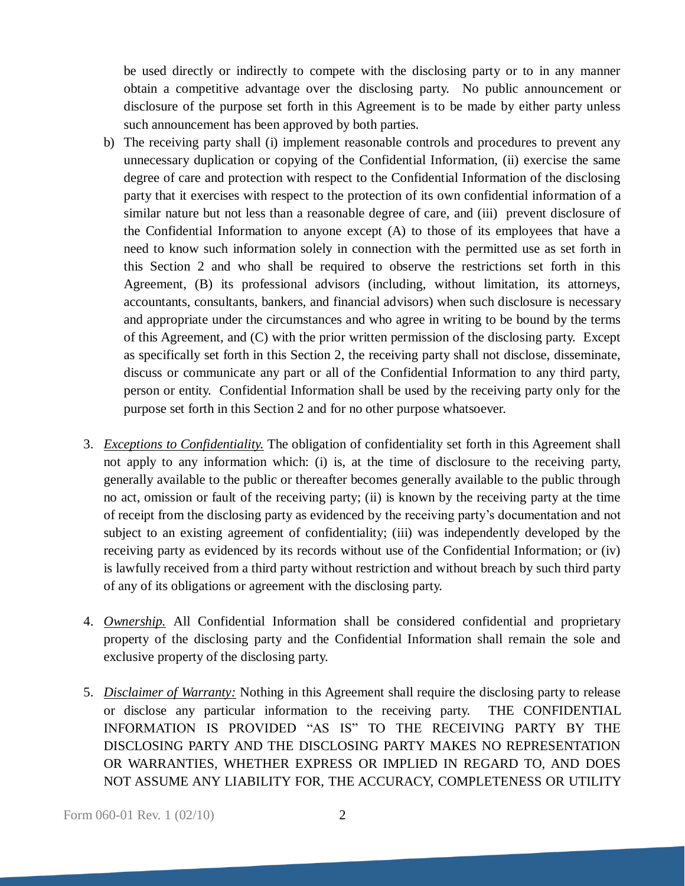be used directly or indirectly to compete with the disclosing party or to in any manner obtain a competitive advantage over the disclosing party. No public announcement or disclosure of the purpose set forth in this Agreement is to be made by either party unless such announcement has been approved by both parties.

- b) The receiving party shall (i) implement reasonable controls and procedures to prevent any unnecessary duplication or copying of the Confidential Information, (ii) exercise the same degree of care and protection with respect to the Confidential Information of the disclosing party that it exercises with respect to the protection of its own confidential information of a similar nature but not less than a reasonable degree of care, and (iii) prevent disclosure of the Confidential Information to anyone except (A) to those of its employees that have a need to know such information solely in connection with the permitted use as set forth in this Section 2 and who shall be required to observe the restrictions set forth in this Agreement, (B) its professional advisors (including, without limitation, its attorneys, accountants, consultants, bankers, and financial advisors) when such disclosure is necessary and appropriate under the circumstances and who agree in writing to be bound by the terms of this Agreement, and (C) with the prior written permission of the disclosing party. Except as specifically set forth in this Section 2, the receiving party shall not disclose, disseminate, discuss or communicate any part or all of the Confidential Information to any third party, person or entity. Confidential Information shall be used by the receiving party only for the purpose set forth in this Section 2 and for no other purpose whatsoever.
- 3. *Exceptions to Confidentiality.* The obligation of confidentiality set forth in this Agreement shall not apply to any information which: (i) is, at the time of disclosure to the receiving party, generally available to the public or thereafter becomes generally available to the public through no act, omission or fault of the receiving party; (ii) is known by the receiving party at the time of receipt from the disclosing party as evidenced by the receiving party's documentation and not subject to an existing agreement of confidentiality; (iii) was independently developed by the receiving party as evidenced by its records without use of the Confidential Information; or (iv) is lawfully received from a third party without restriction and without breach by such third party of any of its obligations or agreement with the disclosing party.
- 4. *Ownership.* All Confidential Information shall be considered confidential and proprietary property of the disclosing party and the Confidential Information shall remain the sole and exclusive property of the disclosing party.
- 5. *Disclaimer of Warranty:* Nothing in this Agreement shall require the disclosing party to release or disclose any particular information to the receiving party. THE CONFIDENTIAL INFORMATION IS PROVIDED "AS IS" TO THE RECEIVING PARTY BY THE DISCLOSING PARTY AND THE DISCLOSING PARTY MAKES NO REPRESENTATION OR WARRANTIES, WHETHER EXPRESS OR IMPLIED IN REGARD TO, AND DOES NOT ASSUME ANY LIABILITY FOR, THE ACCURACY, COMPLETENESS OR UTILITY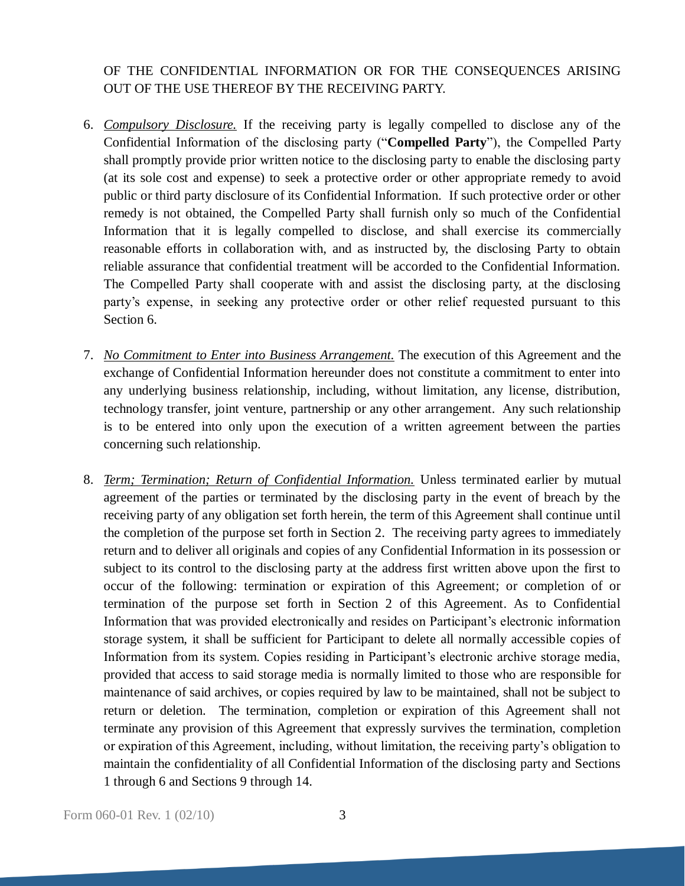## OF THE CONFIDENTIAL INFORMATION OR FOR THE CONSEQUENCES ARISING OUT OF THE USE THEREOF BY THE RECEIVING PARTY.

- 6. *Compulsory Disclosure.* If the receiving party is legally compelled to disclose any of the Confidential Information of the disclosing party ("**Compelled Party**"), the Compelled Party shall promptly provide prior written notice to the disclosing party to enable the disclosing party (at its sole cost and expense) to seek a protective order or other appropriate remedy to avoid public or third party disclosure of its Confidential Information. If such protective order or other remedy is not obtained, the Compelled Party shall furnish only so much of the Confidential Information that it is legally compelled to disclose, and shall exercise its commercially reasonable efforts in collaboration with, and as instructed by, the disclosing Party to obtain reliable assurance that confidential treatment will be accorded to the Confidential Information. The Compelled Party shall cooperate with and assist the disclosing party, at the disclosing party's expense, in seeking any protective order or other relief requested pursuant to this Section 6.
- 7. *No Commitment to Enter into Business Arrangement.* The execution of this Agreement and the exchange of Confidential Information hereunder does not constitute a commitment to enter into any underlying business relationship, including, without limitation, any license, distribution, technology transfer, joint venture, partnership or any other arrangement. Any such relationship is to be entered into only upon the execution of a written agreement between the parties concerning such relationship.
- 8. *Term; Termination; Return of Confidential Information.* Unless terminated earlier by mutual agreement of the parties or terminated by the disclosing party in the event of breach by the receiving party of any obligation set forth herein, the term of this Agreement shall continue until the completion of the purpose set forth in Section 2. The receiving party agrees to immediately return and to deliver all originals and copies of any Confidential Information in its possession or subject to its control to the disclosing party at the address first written above upon the first to occur of the following: termination or expiration of this Agreement; or completion of or termination of the purpose set forth in Section 2 of this Agreement. As to Confidential Information that was provided electronically and resides on Participant's electronic information storage system, it shall be sufficient for Participant to delete all normally accessible copies of Information from its system. Copies residing in Participant's electronic archive storage media, provided that access to said storage media is normally limited to those who are responsible for maintenance of said archives, or copies required by law to be maintained, shall not be subject to return or deletion. The termination, completion or expiration of this Agreement shall not terminate any provision of this Agreement that expressly survives the termination, completion or expiration of this Agreement, including, without limitation, the receiving party's obligation to maintain the confidentiality of all Confidential Information of the disclosing party and Sections 1 through 6 and Sections 9 through 14.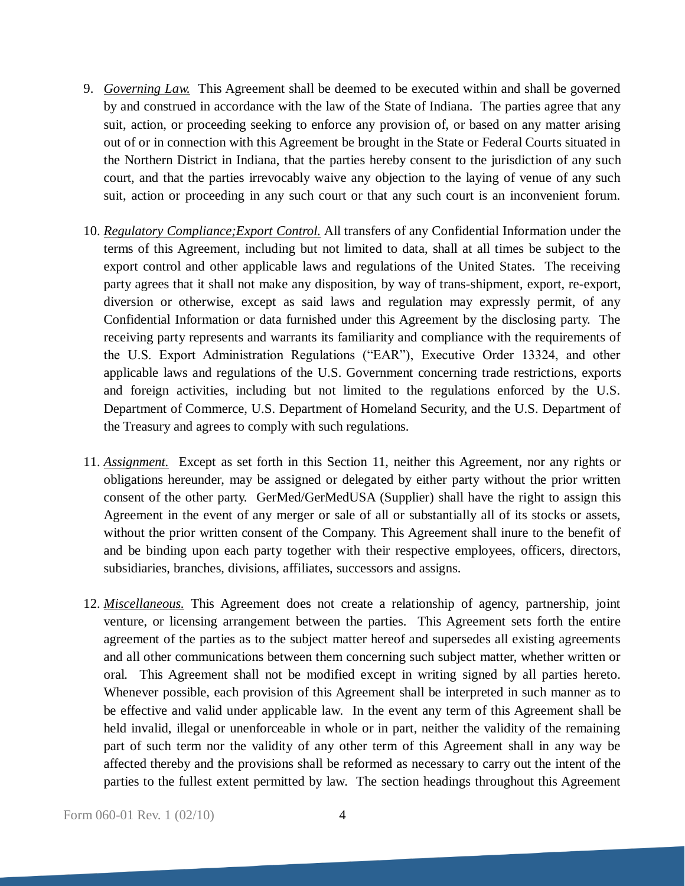- 9. *Governing Law.* This Agreement shall be deemed to be executed within and shall be governed by and construed in accordance with the law of the State of Indiana. The parties agree that any suit, action, or proceeding seeking to enforce any provision of, or based on any matter arising out of or in connection with this Agreement be brought in the State or Federal Courts situated in the Northern District in Indiana, that the parties hereby consent to the jurisdiction of any such court, and that the parties irrevocably waive any objection to the laying of venue of any such suit, action or proceeding in any such court or that any such court is an inconvenient forum.
- 10. *Regulatory Compliance;Export Control.* All transfers of any Confidential Information under the terms of this Agreement, including but not limited to data, shall at all times be subject to the export control and other applicable laws and regulations of the United States. The receiving party agrees that it shall not make any disposition, by way of trans-shipment, export, re-export, diversion or otherwise, except as said laws and regulation may expressly permit, of any Confidential Information or data furnished under this Agreement by the disclosing party. The receiving party represents and warrants its familiarity and compliance with the requirements of the U.S. Export Administration Regulations ("EAR"), Executive Order 13324, and other applicable laws and regulations of the U.S. Government concerning trade restrictions, exports and foreign activities, including but not limited to the regulations enforced by the U.S. Department of Commerce, U.S. Department of Homeland Security, and the U.S. Department of the Treasury and agrees to comply with such regulations.
- 11. *Assignment.* Except as set forth in this Section 11, neither this Agreement, nor any rights or obligations hereunder, may be assigned or delegated by either party without the prior written consent of the other party. GerMed/GerMedUSA (Supplier) shall have the right to assign this Agreement in the event of any merger or sale of all or substantially all of its stocks or assets, without the prior written consent of the Company. This Agreement shall inure to the benefit of and be binding upon each party together with their respective employees, officers, directors, subsidiaries, branches, divisions, affiliates, successors and assigns.
- 12. *Miscellaneous.* This Agreement does not create a relationship of agency, partnership, joint venture, or licensing arrangement between the parties. This Agreement sets forth the entire agreement of the parties as to the subject matter hereof and supersedes all existing agreements and all other communications between them concerning such subject matter, whether written or oral. This Agreement shall not be modified except in writing signed by all parties hereto. Whenever possible, each provision of this Agreement shall be interpreted in such manner as to be effective and valid under applicable law. In the event any term of this Agreement shall be held invalid, illegal or unenforceable in whole or in part, neither the validity of the remaining part of such term nor the validity of any other term of this Agreement shall in any way be affected thereby and the provisions shall be reformed as necessary to carry out the intent of the parties to the fullest extent permitted by law. The section headings throughout this Agreement